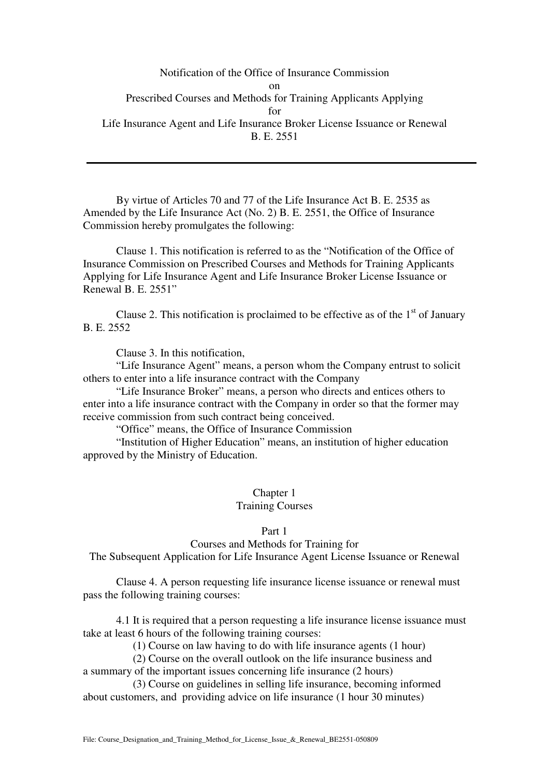Notification of the Office of Insurance Commission on Prescribed Courses and Methods for Training Applicants Applying for Life Insurance Agent and Life Insurance Broker License Issuance or Renewal B. E. 2551

 By virtue of Articles 70 and 77 of the Life Insurance Act B. E. 2535 as Amended by the Life Insurance Act (No. 2) B. E. 2551, the Office of Insurance Commission hereby promulgates the following:

 Clause 1. This notification is referred to as the "Notification of the Office of Insurance Commission on Prescribed Courses and Methods for Training Applicants Applying for Life Insurance Agent and Life Insurance Broker License Issuance or Renewal B. E. 2551"

Clause 2. This notification is proclaimed to be effective as of the  $1<sup>st</sup>$  of January B. E. 2552

Clause 3. In this notification,

"Life Insurance Agent" means, a person whom the Company entrust to solicit others to enter into a life insurance contract with the Company

"Life Insurance Broker" means, a person who directs and entices others to enter into a life insurance contract with the Company in order so that the former may receive commission from such contract being conceived.

"Office" means, the Office of Insurance Commission

"Institution of Higher Education" means, an institution of higher education approved by the Ministry of Education.

## Chapter 1

### Training Courses

### Part 1

Courses and Methods for Training for The Subsequent Application for Life Insurance Agent License Issuance or Renewal

 Clause 4. A person requesting life insurance license issuance or renewal must pass the following training courses:

 4.1 It is required that a person requesting a life insurance license issuance must take at least 6 hours of the following training courses:

(1) Course on law having to do with life insurance agents (1 hour)

 (2) Course on the overall outlook on the life insurance business and a summary of the important issues concerning life insurance (2 hours)

 (3) Course on guidelines in selling life insurance, becoming informed about customers, and providing advice on life insurance (1 hour 30 minutes)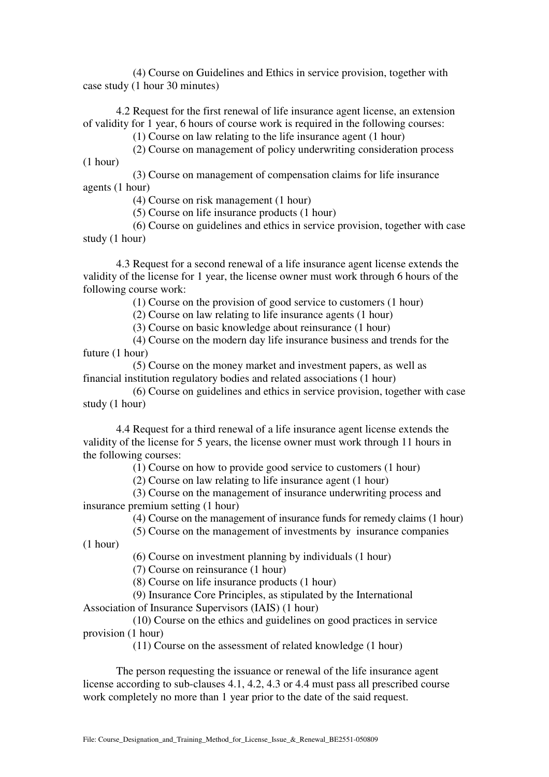(4) Course on Guidelines and Ethics in service provision, together with case study (1 hour 30 minutes)

 4.2 Request for the first renewal of life insurance agent license, an extension of validity for 1 year, 6 hours of course work is required in the following courses:

(1) Course on law relating to the life insurance agent (1 hour)

 (2) Course on management of policy underwriting consideration process (1 hour)

 (3) Course on management of compensation claims for life insurance agents (1 hour)

(4) Course on risk management (1 hour)

(5) Course on life insurance products (1 hour)

 (6) Course on guidelines and ethics in service provision, together with case study (1 hour)

 4.3 Request for a second renewal of a life insurance agent license extends the validity of the license for 1 year, the license owner must work through 6 hours of the following course work:

(1) Course on the provision of good service to customers (1 hour)

(2) Course on law relating to life insurance agents (1 hour)

(3) Course on basic knowledge about reinsurance (1 hour)

 (4) Course on the modern day life insurance business and trends for the future (1 hour)

 (5) Course on the money market and investment papers, as well as financial institution regulatory bodies and related associations (1 hour)

 (6) Course on guidelines and ethics in service provision, together with case study (1 hour)

 4.4 Request for a third renewal of a life insurance agent license extends the validity of the license for 5 years, the license owner must work through 11 hours in the following courses:

(1) Course on how to provide good service to customers (1 hour)

(2) Course on law relating to life insurance agent (1 hour)

 (3) Course on the management of insurance underwriting process and insurance premium setting (1 hour)

(4) Course on the management of insurance funds for remedy claims (1 hour)

 (5) Course on the management of investments by insurance companies (1 hour)

(6) Course on investment planning by individuals (1 hour)

(7) Course on reinsurance (1 hour)

(8) Course on life insurance products (1 hour)

(9) Insurance Core Principles, as stipulated by the International

Association of Insurance Supervisors (IAIS) (1 hour)

 (10) Course on the ethics and guidelines on good practices in service provision (1 hour)

(11) Course on the assessment of related knowledge (1 hour)

 The person requesting the issuance or renewal of the life insurance agent license according to sub-clauses 4.1, 4.2, 4.3 or 4.4 must pass all prescribed course work completely no more than 1 year prior to the date of the said request.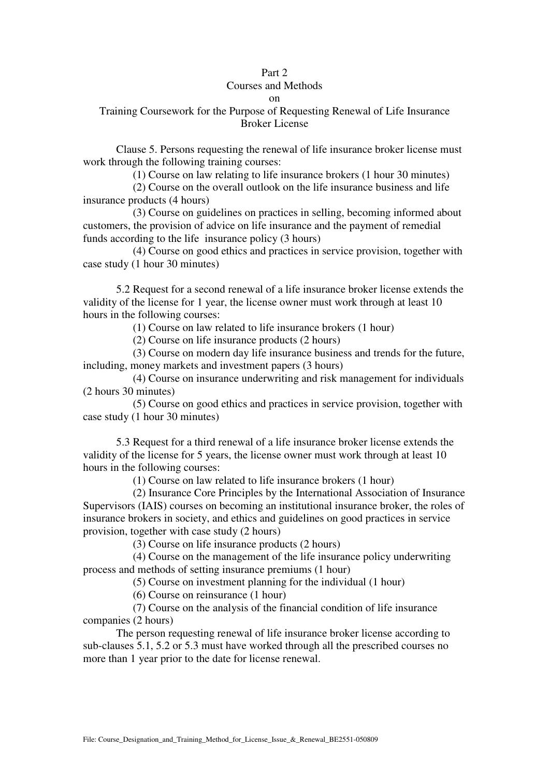### Part 2

### Courses and Methods

#### on

## Training Coursework for the Purpose of Requesting Renewal of Life Insurance Broker License

 Clause 5. Persons requesting the renewal of life insurance broker license must work through the following training courses:

(1) Course on law relating to life insurance brokers (1 hour 30 minutes)

 (2) Course on the overall outlook on the life insurance business and life insurance products (4 hours)

 (3) Course on guidelines on practices in selling, becoming informed about customers, the provision of advice on life insurance and the payment of remedial funds according to the life insurance policy (3 hours)

 (4) Course on good ethics and practices in service provision, together with case study (1 hour 30 minutes)

 5.2 Request for a second renewal of a life insurance broker license extends the validity of the license for 1 year, the license owner must work through at least 10 hours in the following courses:

(1) Course on law related to life insurance brokers (1 hour)

(2) Course on life insurance products (2 hours)

 (3) Course on modern day life insurance business and trends for the future, including, money markets and investment papers (3 hours)

 (4) Course on insurance underwriting and risk management for individuals (2 hours 30 minutes)

 (5) Course on good ethics and practices in service provision, together with case study (1 hour 30 minutes)

 5.3 Request for a third renewal of a life insurance broker license extends the validity of the license for 5 years, the license owner must work through at least 10 hours in the following courses:

(1) Course on law related to life insurance brokers (1 hour)

 (2) Insurance Core Principles by the International Association of Insurance Supervisors (IAIS) courses on becoming an institutional insurance broker, the roles of insurance brokers in society, and ethics and guidelines on good practices in service provision, together with case study (2 hours)

(3) Course on life insurance products (2 hours)

 (4) Course on the management of the life insurance policy underwriting process and methods of setting insurance premiums (1 hour)

(5) Course on investment planning for the individual (1 hour)

(6) Course on reinsurance (1 hour)

 (7) Course on the analysis of the financial condition of life insurance companies (2 hours)

 The person requesting renewal of life insurance broker license according to sub-clauses 5.1, 5.2 or 5.3 must have worked through all the prescribed courses no more than 1 year prior to the date for license renewal.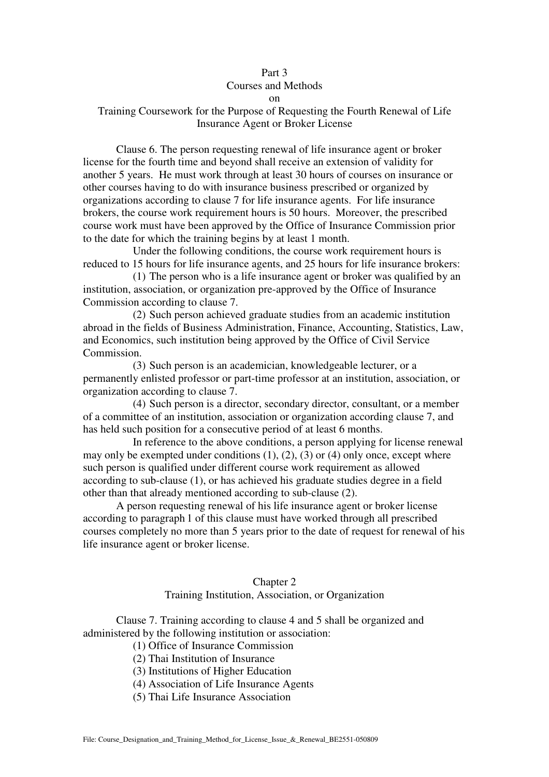# Part 3 Courses and Methods

on

## Training Coursework for the Purpose of Requesting the Fourth Renewal of Life Insurance Agent or Broker License

 Clause 6. The person requesting renewal of life insurance agent or broker license for the fourth time and beyond shall receive an extension of validity for another 5 years. He must work through at least 30 hours of courses on insurance or other courses having to do with insurance business prescribed or organized by organizations according to clause 7 for life insurance agents. For life insurance brokers, the course work requirement hours is 50 hours. Moreover, the prescribed course work must have been approved by the Office of Insurance Commission prior to the date for which the training begins by at least 1 month.

 Under the following conditions, the course work requirement hours is reduced to 15 hours for life insurance agents, and 25 hours for life insurance brokers:

(1) The person who is a life insurance agent or broker was qualified by an institution, association, or organization pre-approved by the Office of Insurance Commission according to clause 7.

(2) Such person achieved graduate studies from an academic institution abroad in the fields of Business Administration, Finance, Accounting, Statistics, Law, and Economics, such institution being approved by the Office of Civil Service Commission.

(3) Such person is an academician, knowledgeable lecturer, or a permanently enlisted professor or part-time professor at an institution, association, or organization according to clause 7.

(4) Such person is a director, secondary director, consultant, or a member of a committee of an institution, association or organization according clause 7, and has held such position for a consecutive period of at least 6 months.

 In reference to the above conditions, a person applying for license renewal may only be exempted under conditions  $(1)$ ,  $(2)$ ,  $(3)$  or  $(4)$  only once, except where such person is qualified under different course work requirement as allowed according to sub-clause (1), or has achieved his graduate studies degree in a field other than that already mentioned according to sub-clause (2).

 A person requesting renewal of his life insurance agent or broker license according to paragraph 1 of this clause must have worked through all prescribed courses completely no more than 5 years prior to the date of request for renewal of his life insurance agent or broker license.

# Chapter 2

### Training Institution, Association, or Organization

 Clause 7. Training according to clause 4 and 5 shall be organized and administered by the following institution or association:

- (1) Office of Insurance Commission
- (2) Thai Institution of Insurance
- (3) Institutions of Higher Education
- (4) Association of Life Insurance Agents
- (5) Thai Life Insurance Association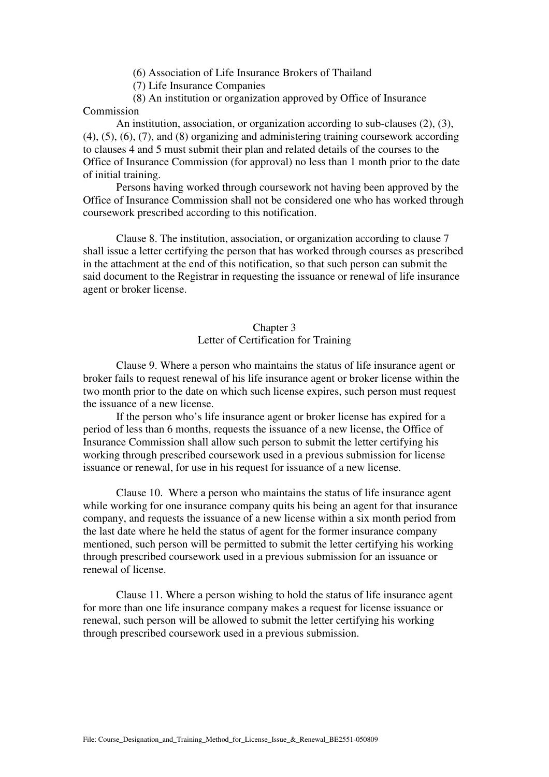(6) Association of Life Insurance Brokers of Thailand

(7) Life Insurance Companies

 (8) An institution or organization approved by Office of Insurance Commission

 An institution, association, or organization according to sub-clauses (2), (3), (4), (5), (6), (7), and (8) organizing and administering training coursework according to clauses 4 and 5 must submit their plan and related details of the courses to the Office of Insurance Commission (for approval) no less than 1 month prior to the date of initial training.

 Persons having worked through coursework not having been approved by the Office of Insurance Commission shall not be considered one who has worked through coursework prescribed according to this notification.

 Clause 8. The institution, association, or organization according to clause 7 shall issue a letter certifying the person that has worked through courses as prescribed in the attachment at the end of this notification, so that such person can submit the said document to the Registrar in requesting the issuance or renewal of life insurance agent or broker license.

## Chapter 3 Letter of Certification for Training

 Clause 9. Where a person who maintains the status of life insurance agent or broker fails to request renewal of his life insurance agent or broker license within the two month prior to the date on which such license expires, such person must request the issuance of a new license.

 If the person who's life insurance agent or broker license has expired for a period of less than 6 months, requests the issuance of a new license, the Office of Insurance Commission shall allow such person to submit the letter certifying his working through prescribed coursework used in a previous submission for license issuance or renewal, for use in his request for issuance of a new license.

 Clause 10. Where a person who maintains the status of life insurance agent while working for one insurance company quits his being an agent for that insurance company, and requests the issuance of a new license within a six month period from the last date where he held the status of agent for the former insurance company mentioned, such person will be permitted to submit the letter certifying his working through prescribed coursework used in a previous submission for an issuance or renewal of license.

 Clause 11. Where a person wishing to hold the status of life insurance agent for more than one life insurance company makes a request for license issuance or renewal, such person will be allowed to submit the letter certifying his working through prescribed coursework used in a previous submission.